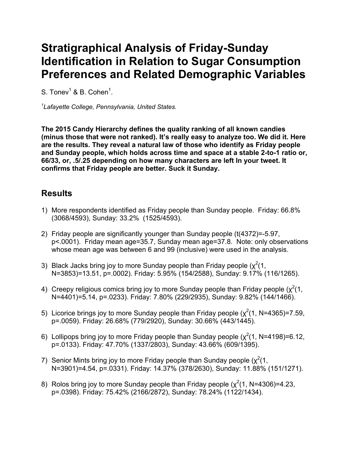## **Stratigraphical Analysis of Friday-Sunday Identification in Relation to Sugar Consumption Preferences and Related Demographic Variables**

S. Tonev $^1$  & B. Cohen $^1$ .

*1 Lafayette College, Pennsylvania, United States.*

**The 2015 Candy Hierarchy defines the quality ranking of all known candies (minus those that were not ranked). It's really easy to analyze too. We did it. Here are the results. They reveal a natural law of those who identify as Friday people and Sunday people, which holds across time and space at a stable 2-to-1 ratio or, 66/33, or, .5/.25 depending on how many characters are left In your tweet. It confirms that Friday people are better. Suck it Sunday.**

## **Results**

- 1) More respondents identified as Friday people than Sunday people. Friday: 66.8% (3068/4593), Sunday: 33.2% (1525/4593).
- 2) Friday people are significantly younger than Sunday people (t(4372)=-5.97, p<.0001). Friday mean age=35.7, Sunday mean age=37.8. Note: only observations whose mean age was between 6 and 99 (inclusive) were used in the analysis.
- 3) Black Jacks bring joy to more Sunday people than Friday people  $(\chi^2(1,$ N=3853)=13.51, p=.0002). Friday: 5.95% (154/2588), Sunday: 9.17% (116/1265).
- 4) Creepy religious comics bring joy to more Sunday people than Friday people ( $\chi^2(1, 1)$ N=4401)=5.14, p=.0233). Friday: 7.80% (229/2935), Sunday: 9.82% (144/1466).
- 5) Licorice brings joy to more Sunday people than Friday people  $(\chi^2(1, N=4365)=7.59,$ p=.0059). Friday: 26.68% (779/2920), Sunday: 30.66% (443/1445).
- 6) Lollipops bring joy to more Friday people than Sunday people  $(\chi^2(1, N=4198)=6.12,$ p=.0133). Friday: 47.70% (1337/2803), Sunday: 43.66% (609/1395).
- 7) Senior Mints bring joy to more Friday people than Sunday people  $(\chi^2(1,$ N=3901)=4.54, p=.0331). Friday: 14.37% (378/2630), Sunday: 11.88% (151/1271).
- 8) Rolos bring joy to more Sunday people than Friday people  $(\chi^2(1, N=4306)=4.23,$ p=.0398). Friday: 75.42% (2166/2872), Sunday: 78.24% (1122/1434).